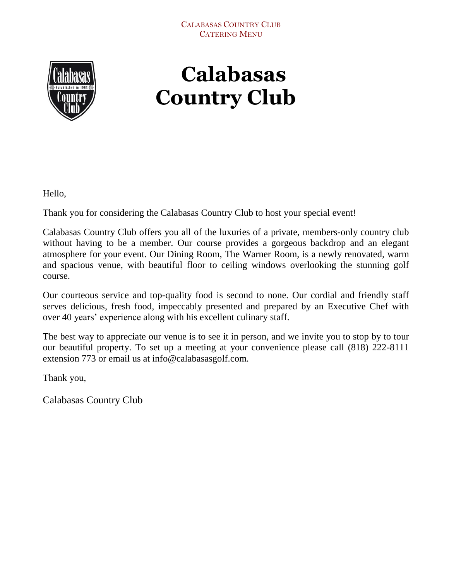

# **Calabasas Country Club**

Hello,

Thank you for considering the Calabasas Country Club to host your special event!

Calabasas Country Club offers you all of the luxuries of a private, members-only country club without having to be a member. Our course provides a gorgeous backdrop and an elegant atmosphere for your event. Our Dining Room, The Warner Room, is a newly renovated, warm and spacious venue, with beautiful floor to ceiling windows overlooking the stunning golf course.

Our courteous service and top-quality food is second to none. Our cordial and friendly staff serves delicious, fresh food, impeccably presented and prepared by an Executive Chef with over 40 years' experience along with his excellent culinary staff.

The best way to appreciate our venue is to see it in person, and we invite you to stop by to tour our beautiful property. To set up a meeting at your convenience please call (818) 222-8111 extension 773 or email us at info@calabasasgolf.com.

Thank you,

Calabasas Country Club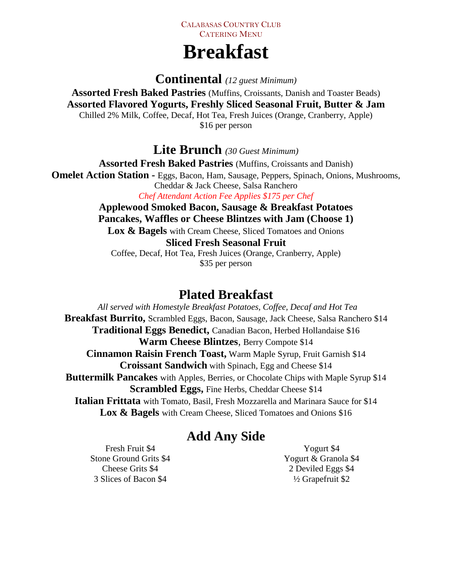# **Breakfast**

**Continental** *(12 guest Minimum)*

**Assorted Fresh Baked Pastries** (Muffins, Croissants, Danish and Toaster Beads) **Assorted Flavored Yogurts, Freshly Sliced Seasonal Fruit, Butter & Jam** Chilled 2% Milk, Coffee, Decaf, Hot Tea, Fresh Juices (Orange, Cranberry, Apple) \$16 per person

**Lite Brunch** *(30 Guest Minimum)*

**Assorted Fresh Baked Pastries** (Muffins, Croissants and Danish) **Omelet Action Station -** Eggs, Bacon, Ham, Sausage, Peppers, Spinach, Onions, Mushrooms, Cheddar & Jack Cheese, Salsa Ranchero *Chef Attendant Action Fee Applies \$175 per Chef* 

**Applewood Smoked Bacon, Sausage & Breakfast Potatoes Pancakes, Waffles or Cheese Blintzes with Jam (Choose 1)** Lox  $\&$  Bagels with Cream Cheese, Sliced Tomatoes and Onions **Sliced Fresh Seasonal Fruit**

Coffee, Decaf, Hot Tea, Fresh Juices (Orange, Cranberry, Apple) \$35 per person

# **Plated Breakfast**

*All served with Homestyle Breakfast Potatoes, Coffee, Decaf and Hot Tea* **Breakfast Burrito,** Scrambled Eggs, Bacon, Sausage, Jack Cheese, Salsa Ranchero \$14 **Traditional Eggs Benedict,** Canadian Bacon, Herbed Hollandaise \$16 **Warm Cheese Blintzes**, Berry Compote \$14 **Cinnamon Raisin French Toast,** Warm Maple Syrup, Fruit Garnish \$14 **Croissant Sandwich** with Spinach, Egg and Cheese \$14 **Buttermilk Pancakes** with Apples, Berries, or Chocolate Chips with Maple Syrup \$14 **Scrambled Eggs,** Fine Herbs, Cheddar Cheese \$14 **Italian Frittata** with Tomato, Basil, Fresh Mozzarella and Marinara Sauce for \$14 Lox  $\&$  Bagels with Cream Cheese, Sliced Tomatoes and Onions \$16

# **Add Any Side**

Fresh Fruit \$4 Stone Ground Grits \$4 Cheese Grits \$4 3 Slices of Bacon \$4

Yogurt \$4 Yogurt & Granola \$4 2 Deviled Eggs \$4 ½ Grapefruit \$2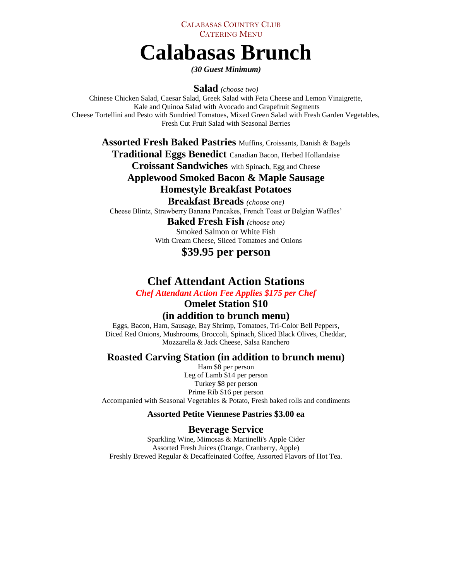# **Calabasas Brunch**

*(30 Guest Minimum)*

**Salad** *(choose two)*

Chinese Chicken Salad, Caesar Salad, Greek Salad with Feta Cheese and Lemon Vinaigrette, Kale and Quinoa Salad with Avocado and Grapefruit Segments Cheese Tortellini and Pesto with Sundried Tomatoes, Mixed Green Salad with Fresh Garden Vegetables, Fresh Cut Fruit Salad with Seasonal Berries

**Assorted Fresh Baked Pastries** Muffins, Croissants, Danish & Bagels

**Traditional Eggs Benedict** Canadian Bacon, Herbed Hollandaise

**Croissant Sandwiches** with Spinach, Egg and Cheese

### **Applewood Smoked Bacon & Maple Sausage Homestyle Breakfast Potatoes**

**Breakfast Breads** *(choose one)*

Cheese Blintz, Strawberry Banana Pancakes, French Toast or Belgian Waffles'

### **Baked Fresh Fish** *(choose one)*

Smoked Salmon or White Fish With Cream Cheese, Sliced Tomatoes and Onions

### **\$39.95 per person**

### **Chef Attendant Action Stations**

*Chef Attendant Action Fee Applies \$175 per Chef* 

### **Omelet Station \$10 (in addition to brunch menu)**

Eggs, Bacon, Ham, Sausage, Bay Shrimp, Tomatoes, Tri-Color Bell Peppers, Diced Red Onions, Mushrooms, Broccoli, Spinach, Sliced Black Olives, Cheddar, Mozzarella & Jack Cheese, Salsa Ranchero

### **Roasted Carving Station (in addition to brunch menu)**

Ham \$8 per person Leg of Lamb \$14 per person Turkey \$8 per person Prime Rib \$16 per person Accompanied with Seasonal Vegetables & Potato, Fresh baked rolls and condiments

#### **Assorted Petite Viennese Pastries \$3.00 ea**

#### **Beverage Service**

Sparkling Wine, Mimosas & Martinelli's Apple Cider Assorted Fresh Juices (Orange, Cranberry, Apple) Freshly Brewed Regular & Decaffeinated Coffee, Assorted Flavors of Hot Tea.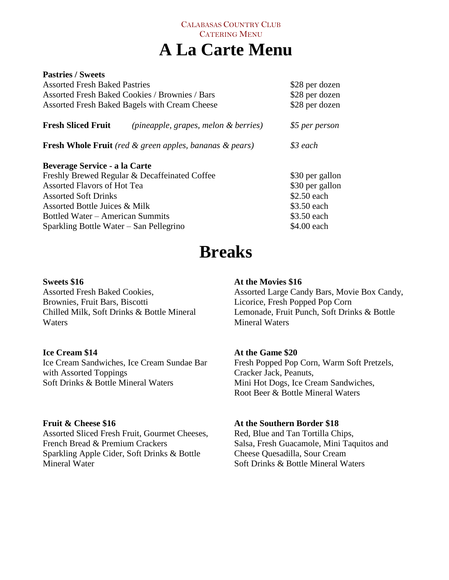## CALABASAS COUNTRY CLUB CATERING MENU **A La Carte Menu**

| <b>Pastries / Sweets</b>                              |                                                                      |                 |
|-------------------------------------------------------|----------------------------------------------------------------------|-----------------|
| <b>Assorted Fresh Baked Pastries</b>                  | \$28 per dozen                                                       |                 |
| <b>Assorted Fresh Baked Cookies / Brownies / Bars</b> | \$28 per dozen                                                       |                 |
| Assorted Fresh Baked Bagels with Cream Cheese         |                                                                      | \$28 per dozen  |
| <b>Fresh Sliced Fruit</b>                             | (pineapple, grapes, melon & berries)                                 | \$5 per person  |
|                                                       | <b>Fresh Whole Fruit</b> (red $\&$ green apples, bananas $\&$ pears) | \$3 each        |
| Beverage Service - a la Carte                         |                                                                      |                 |
|                                                       | Freshly Brewed Regular & Decaffeinated Coffee                        | \$30 per gallon |
| <b>Assorted Flavors of Hot Tea</b>                    |                                                                      | \$30 per gallon |
| <b>Assorted Soft Drinks</b>                           |                                                                      | \$2.50 each     |
| Assorted Bottle Juices & Milk                         |                                                                      | \$3.50 each     |
| Bottled Water – American Summits                      |                                                                      | \$3.50 each     |
| Sparkling Bottle Water – San Pellegrino               |                                                                      | \$4.00 each     |

# **Breaks**

#### **Sweets \$16**

Assorted Fresh Baked Cookies, Brownies, Fruit Bars, Biscotti Chilled Milk, Soft Drinks & Bottle Mineral Waters

### **Ice Cream \$14**

Ice Cream Sandwiches, Ice Cream Sundae Bar with Assorted Toppings Soft Drinks & Bottle Mineral Waters

### **Fruit & Cheese \$16**

Assorted Sliced Fresh Fruit, Gourmet Cheeses, French Bread & Premium Crackers Sparkling Apple Cider, Soft Drinks & Bottle Mineral Water

#### **At the Movies \$16**

Assorted Large Candy Bars, Movie Box Candy, Licorice, Fresh Popped Pop Corn Lemonade, Fruit Punch, Soft Drinks & Bottle Mineral Waters

### **At the Game \$20**

Fresh Popped Pop Corn, Warm Soft Pretzels, Cracker Jack, Peanuts, Mini Hot Dogs, Ice Cream Sandwiches, Root Beer & Bottle Mineral Waters

### **At the Southern Border \$18**

Red, Blue and Tan Tortilla Chips, Salsa, Fresh Guacamole, Mini Taquitos and Cheese Quesadilla, Sour Cream Soft Drinks & Bottle Mineral Waters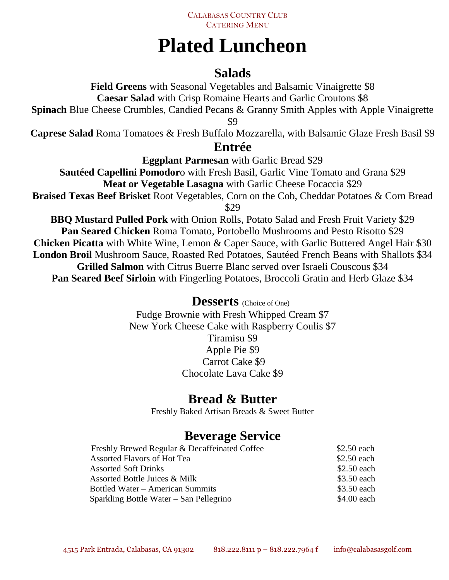

# **Plated Luncheon**

# **Salads**

**Field Greens** with Seasonal Vegetables and Balsamic Vinaigrette \$8 **Caesar Salad** with Crisp Romaine Hearts and Garlic Croutons \$8

**Spinach** Blue Cheese Crumbles, Candied Pecans & Granny Smith Apples with Apple Vinaigrette

\$9

**Caprese Salad** Roma Tomatoes & Fresh Buffalo Mozzarella, with Balsamic Glaze Fresh Basil \$9

### **Entrée**

**Eggplant Parmesan** with Garlic Bread \$29

**Sautéed Capellini Pomodor**o with Fresh Basil, Garlic Vine Tomato and Grana \$29 **Meat or Vegetable Lasagna** with Garlic Cheese Focaccia \$29

**Braised Texas Beef Brisket** Root Vegetables, Corn on the Cob, Cheddar Potatoes & Corn Bread \$29

**BBQ Mustard Pulled Pork** with Onion Rolls, Potato Salad and Fresh Fruit Variety \$29 **Pan Seared Chicken** Roma Tomato, Portobello Mushrooms and Pesto Risotto \$29 **Chicken Picatta** with White Wine, Lemon & Caper Sauce, with Garlic Buttered Angel Hair \$30 **London Broil** Mushroom Sauce, Roasted Red Potatoes, Sautéed French Beans with Shallots \$34 **Grilled Salmon** with Citrus Buerre Blanc served over Israeli Couscous \$34 **Pan Seared Beef Sirloin** with Fingerling Potatoes, Broccoli Gratin and Herb Glaze \$34

### **Desserts** (Choice of One)

Fudge Brownie with Fresh Whipped Cream \$7 New York Cheese Cake with Raspberry Coulis \$7 Tiramisu \$9 Apple Pie \$9 Carrot Cake \$9 Chocolate Lava Cake \$9

# **Bread & Butter**

Freshly Baked Artisan Breads & Sweet Butter

# **Beverage Service**

| Freshly Brewed Regular & Decaffeinated Coffee | \$2.50 each |
|-----------------------------------------------|-------------|
| Assorted Flavors of Hot Tea                   | \$2.50 each |
| <b>Assorted Soft Drinks</b>                   | \$2.50 each |
| Assorted Bottle Juices & Milk                 | \$3.50 each |
| Bottled Water – American Summits              | \$3.50 each |
| Sparkling Bottle Water – San Pellegrino       | \$4.00 each |
|                                               |             |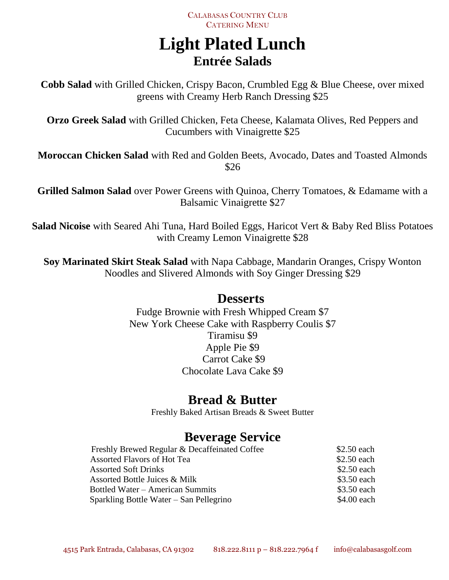# **Light Plated Lunch Entrée Salads**

**Cobb Salad** with Grilled Chicken, Crispy Bacon, Crumbled Egg & Blue Cheese, over mixed greens with Creamy Herb Ranch Dressing \$25

**Orzo Greek Salad** with Grilled Chicken, Feta Cheese, Kalamata Olives, Red Peppers and Cucumbers with Vinaigrette \$25

**Moroccan Chicken Salad** with Red and Golden Beets, Avocado, Dates and Toasted Almonds \$26

**Grilled Salmon Salad** over Power Greens with Quinoa, Cherry Tomatoes, & Edamame with a Balsamic Vinaigrette \$27

**Salad Nicoise** with Seared Ahi Tuna, Hard Boiled Eggs, Haricot Vert & Baby Red Bliss Potatoes with Creamy Lemon Vinaigrette \$28

**Soy Marinated Skirt Steak Salad** with Napa Cabbage, Mandarin Oranges, Crispy Wonton Noodles and Slivered Almonds with Soy Ginger Dressing \$29

### **Desserts**

Fudge Brownie with Fresh Whipped Cream \$7 New York Cheese Cake with Raspberry Coulis \$7 Tiramisu \$9 Apple Pie \$9 Carrot Cake \$9 Chocolate Lava Cake \$9

# **Bread & Butter**

Freshly Baked Artisan Breads & Sweet Butter

# **Beverage Service**

| Freshly Brewed Regular & Decaffeinated Coffee | $$2.50$ each |
|-----------------------------------------------|--------------|
| Assorted Flavors of Hot Tea                   | \$2.50 each  |
| <b>Assorted Soft Drinks</b>                   | \$2.50 each  |
| Assorted Bottle Juices & Milk                 | \$3.50 each  |
| Bottled Water – American Summits              | \$3.50 each  |
| Sparkling Bottle Water – San Pellegrino       | \$4.00 each  |
|                                               |              |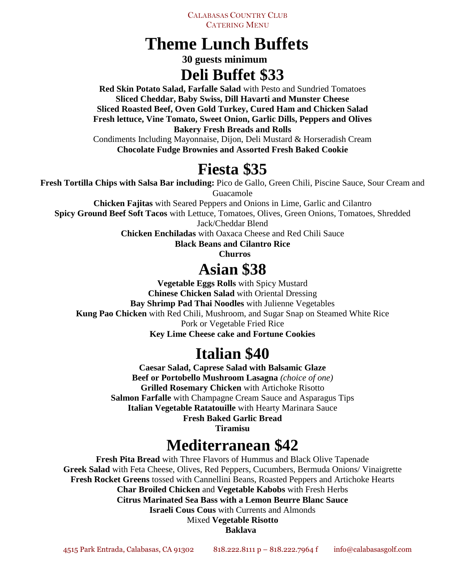# **Theme Lunch Buffets**

 **30 guests minimum Deli Buffet \$33**

**Red Skin Potato Salad, Farfalle Salad** with Pesto and Sundried Tomatoes **Sliced Cheddar, Baby Swiss, Dill Havarti and Munster Cheese Sliced Roasted Beef, Oven Gold Turkey, Cured Ham and Chicken Salad Fresh lettuce, Vine Tomato, Sweet Onion, Garlic Dills, Peppers and Olives Bakery Fresh Breads and Rolls**

Condiments Including Mayonnaise, Dijon, Deli Mustard & Horseradish Cream **Chocolate Fudge Brownies and Assorted Fresh Baked Cookie**

# **Fiesta \$35**

**Fresh Tortilla Chips with Salsa Bar including:** Pico de Gallo, Green Chili, Piscine Sauce, Sour Cream and Guacamole

**Chicken Fajitas** with Seared Peppers and Onions in Lime, Garlic and Cilantro

**Spicy Ground Beef Soft Tacos** with Lettuce, Tomatoes, Olives, Green Onions, Tomatoes, Shredded

Jack/Cheddar Blend

**Chicken Enchiladas** with Oaxaca Cheese and Red Chili Sauce

**Black Beans and Cilantro Rice**

 **Churros**

# **Asian \$38**

**Vegetable Eggs Rolls** with Spicy Mustard **Chinese Chicken Salad** with Oriental Dressing **Bay Shrimp Pad Thai Noodles** with Julienne Vegetables **Kung Pao Chicken** with Red Chili, Mushroom, and Sugar Snap on Steamed White Rice Pork or Vegetable Fried Rice **Key Lime Cheese cake and Fortune Cookies**

# **Italian \$40**

**Caesar Salad, Caprese Salad with Balsamic Glaze Beef or Portobello Mushroom Lasagna** *(choice of one)* **Grilled Rosemary Chicken** with Artichoke Risotto **Salmon Farfalle** with Champagne Cream Sauce and Asparagus Tips **Italian Vegetable Ratatouille** with Hearty Marinara Sauce **Fresh Baked Garlic Bread**

**Tiramisu**

# **Mediterranean \$42**

**Fresh Pita Bread** with Three Flavors of Hummus and Black Olive Tapenade **Greek Salad** with Feta Cheese, Olives, Red Peppers, Cucumbers, Bermuda Onions/ Vinaigrette **Fresh Rocket Greens** tossed with Cannellini Beans, Roasted Peppers and Artichoke Hearts **Char Broiled Chicken** and **Vegetable Kabobs** with Fresh Herbs **Citrus Marinated Sea Bass with a Lemon Beurre Blanc Sauce Israeli Cous Cous** with Currents and Almonds Mixed **Vegetable Risotto**

**Baklava**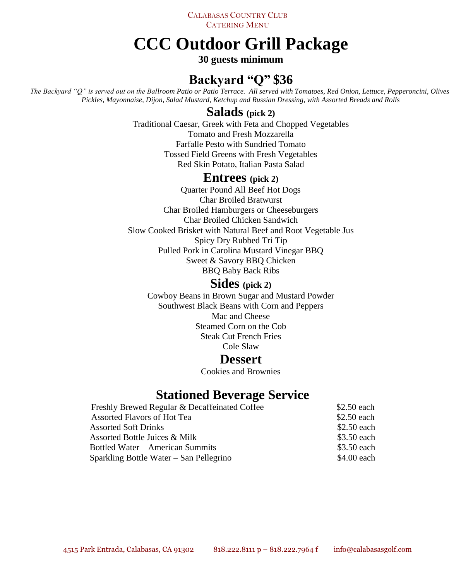# **CCC Outdoor Grill Package**

### **30 guests minimum**

# **Backyard "Q" \$36**

*The Backyard "Q" is served out on the Ballroom Patio or Patio Terrace. All served with Tomatoes, Red Onion, Lettuce, Pepperoncini, Olives, Pickles, Mayonnaise, Dijon, Salad Mustard, Ketchup and Russian Dressing, with Assorted Breads and Rolls*

### **Salads (pick 2)**

Traditional Caesar, Greek with Feta and Chopped Vegetables Tomato and Fresh Mozzarella Farfalle Pesto with Sundried Tomato Tossed Field Greens with Fresh Vegetables Red Skin Potato, Italian Pasta Salad

### **Entrees (pick 2)**

Quarter Pound All Beef Hot Dogs Char Broiled Bratwurst Char Broiled Hamburgers or Cheeseburgers Char Broiled Chicken Sandwich Slow Cooked Brisket with Natural Beef and Root Vegetable Jus Spicy Dry Rubbed Tri Tip Pulled Pork in Carolina Mustard Vinegar BBQ Sweet & Savory BBQ Chicken BBQ Baby Back Ribs

### **Sides (pick 2)**

Cowboy Beans in Brown Sugar and Mustard Powder Southwest Black Beans with Corn and Peppers Mac and Cheese Steamed Corn on the Cob Steak Cut French Fries Cole Slaw

### **Dessert**

Cookies and Brownies

### **Stationed Beverage Service**

| Freshly Brewed Regular & Decaffeinated Coffee | \$2.50 each |
|-----------------------------------------------|-------------|
| Assorted Flavors of Hot Tea                   | \$2.50 each |
| <b>Assorted Soft Drinks</b>                   | \$2.50 each |
| Assorted Bottle Juices & Milk                 | \$3.50 each |
| Bottled Water – American Summits              | \$3.50 each |
| Sparkling Bottle Water – San Pellegrino       | \$4.00 each |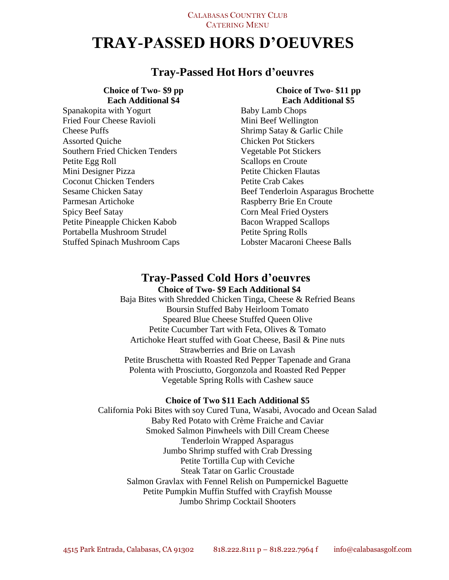# **TRAY-PASSED HORS D'OEUVRES**

### **Tray-Passed Hot Hors d'oeuvres**

### **Choice of Two- \$9 pp Each Additional \$4** Spanakopita with Yogurt Fried Four Cheese Ravioli Cheese Puffs Assorted Quiche Southern Fried Chicken Tenders Petite Egg Roll Mini Designer Pizza

Coconut Chicken Tenders Sesame Chicken Satay Parmesan Artichoke Spicy Beef Satay Petite Pineapple Chicken Kabob Portabella Mushroom Strudel

Stuffed Spinach Mushroom Caps

#### **Choice of Two- \$11 pp Each Additional \$5**

Baby Lamb Chops Mini Beef Wellington Shrimp Satay & Garlic Chile Chicken Pot Stickers Vegetable Pot Stickers Scallops en Croute Petite Chicken Flautas Petite Crab Cakes Beef Tenderloin Asparagus Brochette Raspberry Brie En Croute Corn Meal Fried Oysters Bacon Wrapped Scallops Petite Spring Rolls Lobster Macaroni Cheese Balls

### **Tray-Passed Cold Hors d'oeuvres Choice of Two- \$9 Each Additional \$4**

Baja Bites with Shredded Chicken Tinga, Cheese & Refried Beans Boursin Stuffed Baby Heirloom Tomato Speared Blue Cheese Stuffed Queen Olive Petite Cucumber Tart with Feta, Olives & Tomato Artichoke Heart stuffed with Goat Cheese, Basil & Pine nuts Strawberries and Brie on Lavash Petite Bruschetta with Roasted Red Pepper Tapenade and Grana Polenta with Prosciutto, Gorgonzola and Roasted Red Pepper Vegetable Spring Rolls with Cashew sauce

#### **Choice of Two \$11 Each Additional \$5**

California Poki Bites with soy Cured Tuna, Wasabi, Avocado and Ocean Salad Baby Red Potato with Crème Fraiche and Caviar Smoked Salmon Pinwheels with Dill Cream Cheese Tenderloin Wrapped Asparagus Jumbo Shrimp stuffed with Crab Dressing Petite Tortilla Cup with Ceviche Steak Tatar on Garlic Croustade Salmon Gravlax with Fennel Relish on Pumpernickel Baguette Petite Pumpkin Muffin Stuffed with Crayfish Mousse Jumbo Shrimp Cocktail Shooters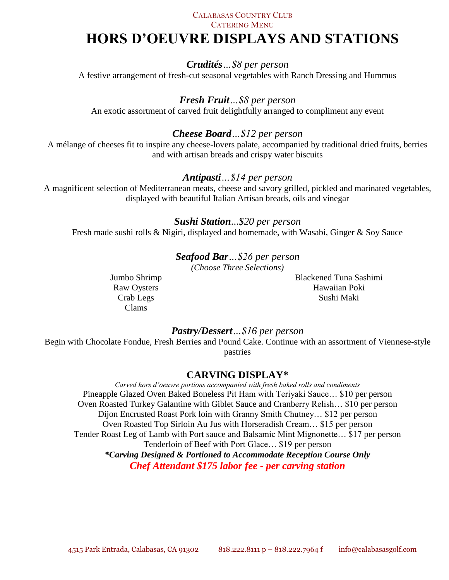### CALABASAS COUNTRY CLUB

CATERING MENU

# **HORS D'OEUVRE DISPLAYS AND STATIONS**

*Crudités…\$8 per person* A festive arrangement of fresh-cut seasonal vegetables with Ranch Dressing and Hummus

*Fresh Fruit…\$8 per person*

An exotic assortment of carved fruit delightfully arranged to compliment any event

### *Cheese Board…\$12 per person*

A mélange of cheeses fit to inspire any cheese-lovers palate, accompanied by traditional dried fruits, berries and with artisan breads and crispy water biscuits

### *Antipasti…\$14 per person*

A magnificent selection of Mediterranean meats, cheese and savory grilled, pickled and marinated vegetables, displayed with beautiful Italian Artisan breads, oils and vinegar

#### *Sushi Station*...*\$20 per person*

Fresh made sushi rolls & Nigiri, displayed and homemade, with Wasabi, Ginger & Soy Sauce

*Seafood Bar…\$26 per person (Choose Three Selections)*

Jumbo Shrimp Raw Oysters Crab Legs Clams

Blackened Tuna Sashimi Hawaiian Poki Sushi Maki

#### *Pastry/Dessert…\$16 per person*

Begin with Chocolate Fondue, Fresh Berries and Pound Cake. Continue with an assortment of Viennese-style pastries

### **CARVING DISPLAY\***

*Carved hors d'oeuvre portions accompanied with fresh baked rolls and condiments* Pineapple Glazed Oven Baked Boneless Pit Ham with Teriyaki Sauce… \$10 per person Oven Roasted Turkey Galantine with Giblet Sauce and Cranberry Relish… \$10 per person Dijon Encrusted Roast Pork loin with Granny Smith Chutney… \$12 per person Oven Roasted Top Sirloin Au Jus with Horseradish Cream… \$15 per person Tender Roast Leg of Lamb with Port sauce and Balsamic Mint Mignonette… \$17 per person Tenderloin of Beef with Port Glace… \$19 per person *\*Carving Designed & Portioned to Accommodate Reception Course Only Chef Attendant \$175 labor fee - per carving station*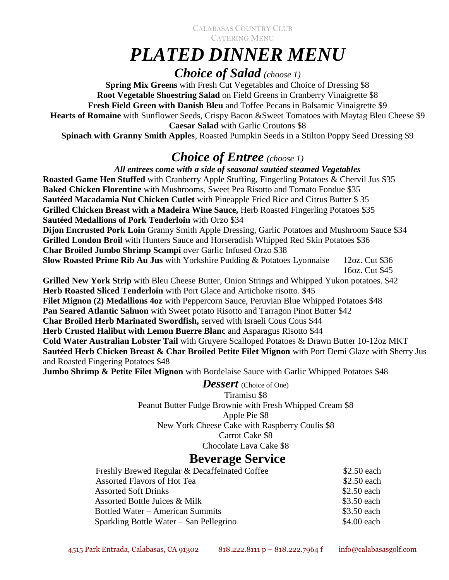# *PLATED DINNER MENU*

# *Choice of Salad (choose 1)*

**Spring Mix Greens** with Fresh Cut Vegetables and Choice of Dressing \$8 **Root Vegetable Shoestring Salad** on Field Greens in Cranberry Vinaigrette \$8 **Fresh Field Green with Danish Bleu** and Toffee Pecans in Balsamic Vinaigrette \$9 **Hearts of Romaine** with Sunflower Seeds, Crispy Bacon &Sweet Tomatoes with Maytag Bleu Cheese \$9 **Caesar Salad** with Garlic Croutons \$8 **Spinach with Granny Smith Apples**, Roasted Pumpkin Seeds in a Stilton Poppy Seed Dressing \$9

# *Choice of Entree (choose 1)*

*All entrees come with a side of seasonal sautéed steamed Vegetables*  **Roasted Game Hen Stuffed** with Cranberry Apple Stuffing, Fingerling Potatoes & Chervil Jus \$35 **Baked Chicken Florentine** with Mushrooms, Sweet Pea Risotto and Tomato Fondue \$35 **Sautéed Macadamia Nut Chicken Cutlet** with Pineapple Fried Rice and Citrus Butter \$ 35 **Grilled Chicken Breast with a Madeira Wine Sauce,** Herb Roasted Fingerling Potatoes \$35 **Sautéed Medallions of Pork Tenderloin** with Orzo \$34 **Dijon Encrusted Pork Loin** Granny Smith Apple Dressing, Garlic Potatoes and Mushroom Sauce \$34 **Grilled London Broil** with Hunters Sauce and Horseradish Whipped Red Skin Potatoes \$36 **Char Broiled Jumbo Shrimp Scampi** over Garlic Infused Orzo \$38 **Slow Roasted Prime Rib Au Jus** with Yorkshire Pudding & Potatoes Lyonnaise 12oz. Cut \$36 16oz. Cut \$45

**Grilled New York Strip** with Bleu Cheese Butter, Onion Strings and Whipped Yukon potatoes. \$42 **Herb Roasted Sliced Tenderloin** with Port Glace and Artichoke risotto. \$45 **Filet Mignon (2) Medallions 4oz** with Peppercorn Sauce, Peruvian Blue Whipped Potatoes \$48 **Pan Seared Atlantic Salmon** with Sweet potato Risotto and Tarragon Pinot Butter \$42 **Char Broiled Herb Marinated Swordfish,** served with Israeli Cous Cous \$44 **Herb Crusted Halibut with Lemon Buerre Blanc** and Asparagus Risotto \$44 **Cold Water Australian Lobster Tail** with Gruyere Scalloped Potatoes & Drawn Butter 10-12oz MKT **Sautéed Herb Chicken Breast & Char Broiled Petite Filet Mignon** with Port Demi Glaze with Sherry Jus and Roasted Fingering Potatoes \$48

**Jumbo Shrimp & Petite Filet Mignon** with Bordelaise Sauce with Garlic Whipped Potatoes \$48

### **Dessert** (Choice of One)

Tiramisu \$8 Peanut Butter Fudge Brownie with Fresh Whipped Cream \$8 Apple Pie \$8 New York Cheese Cake with Raspberry Coulis \$8 Carrot Cake \$8 Chocolate Lava Cake \$8

### **Beverage Service**

| Freshly Brewed Regular & Decaffeinated Coffee | \$2.50 each |
|-----------------------------------------------|-------------|
| Assorted Flavors of Hot Tea                   | \$2.50 each |
| <b>Assorted Soft Drinks</b>                   | \$2.50 each |
| Assorted Bottle Juices & Milk                 | \$3.50 each |
| Bottled Water – American Summits              | \$3.50 each |
| Sparkling Bottle Water – San Pellegrino       | \$4.00 each |
|                                               |             |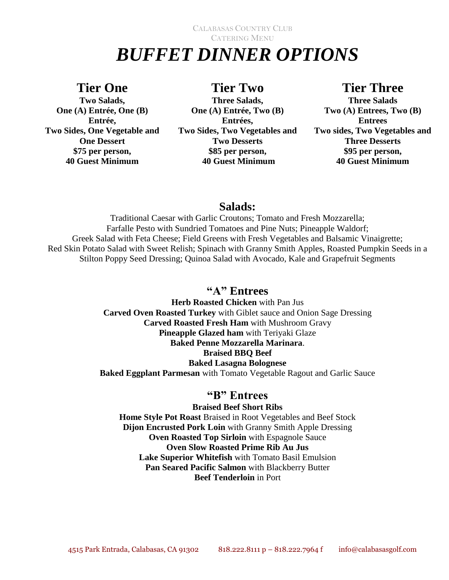# CALABASAS COUNTRY CLUB CATERING MENU *BUFFET DINNER OPTIONS*

### **Tier One**

**Two Salads, One (A) Entrée, One (B) Entrée, Two Sides, One Vegetable and One Dessert \$75 per person, 40 Guest Minimum**

### **Tier Two**

**Three Salads, One (A) Entrée, Two (B) Entrées, Two Sides, Two Vegetables and Two Desserts \$85 per person, 40 Guest Minimum**

### **Tier Three**

**Three Salads Two (A) Entrees, Two (B) Entrees Two sides, Two Vegetables and Three Desserts \$95 per person, 40 Guest Minimum**

### **Salads:**

Traditional Caesar with Garlic Croutons; Tomato and Fresh Mozzarella; Farfalle Pesto with Sundried Tomatoes and Pine Nuts; Pineapple Waldorf; Greek Salad with Feta Cheese; Field Greens with Fresh Vegetables and Balsamic Vinaigrette; Red Skin Potato Salad with Sweet Relish; Spinach with Granny Smith Apples, Roasted Pumpkin Seeds in a Stilton Poppy Seed Dressing; Quinoa Salad with Avocado, Kale and Grapefruit Segments

### **"A" Entrees**

**Herb Roasted Chicken** with Pan Jus **Carved Oven Roasted Turkey** with Giblet sauce and Onion Sage Dressing **Carved Roasted Fresh Ham** with Mushroom Gravy **Pineapple Glazed ham** with Teriyaki Glaze **Baked Penne Mozzarella Marinara**. **Braised BBQ Beef Baked Lasagna Bolognese Baked Eggplant Parmesan** with Tomato Vegetable Ragout and Garlic Sauce

### **"B" Entrees**

### **Braised Beef Short Ribs**

**Home Style Pot Roast** Braised in Root Vegetables and Beef Stock **Dijon Encrusted Pork Loin** with Granny Smith Apple Dressing **Oven Roasted Top Sirloin** with Espagnole Sauce **Oven Slow Roasted Prime Rib Au Jus Lake Superior Whitefish** with Tomato Basil Emulsion **Pan Seared Pacific Salmon** with Blackberry Butter **Beef Tenderloin** in Port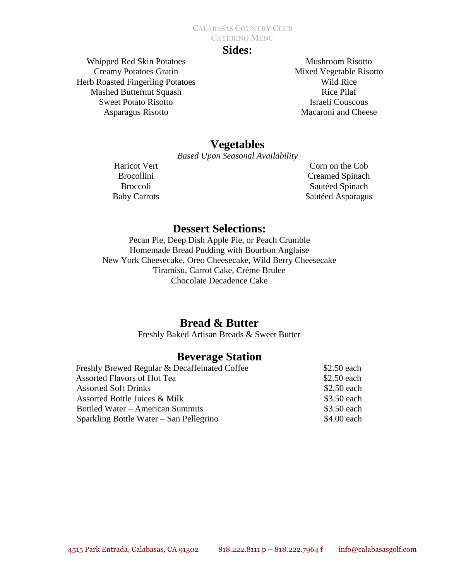### **Sides:**

Whipped Red Skin Potatoes Creamy Potatoes Gratin Herb Roasted Fingerling Potatoes Mashed Butternut Squash Sweet Potato Risotto Asparagus Risotto

Mushroom Risotto Mixed Vegetable Risotto Wild Rice Rice Pilaf Israeli Couscous Macaroni and Cheese

### **Vegetables**

*Based Upon Seasonal Availability*

Haricot Vert Brocollini Broccoli Baby Carrots

Corn on the Cob Creamed Spinach Sautéed Spinach Sautéed Asparagus

### **Dessert Selections:**

Pecan Pie, Deep Dish Apple Pie, or Peach Crumble Homemade Bread Pudding with Bourbon Anglaise New York Cheesecake, Oreo Cheesecake, Wild Berry Cheesecake Tiramisu, Carrot Cake, Crème Brulee Chocolate Decadence Cake

### **Bread & Butter**

Freshly Baked Artisan Breads & Sweet Butter

### **Beverage Station**

|                             | Freshly Brewed Regular & Decaffeinated Coffee |             |
|-----------------------------|-----------------------------------------------|-------------|
|                             | Assorted Flavors of Hot Tea                   | \$2.50 each |
| <b>Assorted Soft Drinks</b> |                                               | \$2.50 each |
|                             | Assorted Bottle Juices & Milk                 | \$3.50 each |
|                             | Bottled Water – American Summits              | \$3.50 each |
|                             | Sparkling Bottle Water – San Pellegrino       | \$4.00 each |
|                             |                                               |             |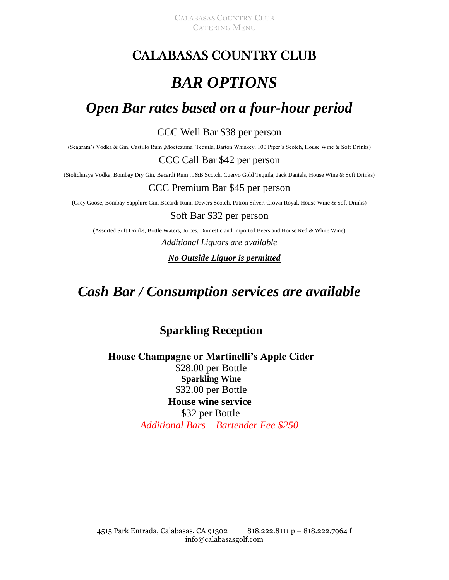# CALABASAS COUNTRY CLUB

# *BAR OPTIONS*

# *Open Bar rates based on a four-hour period*

### CCC Well Bar \$38 per person

(Seagram's Vodka & Gin, Castillo Rum ,Moctezuma Tequila, Barton Whiskey, 100 Piper's Scotch, House Wine & Soft Drinks)

### CCC Call Bar \$42 per person

(Stolichnaya Vodka, Bombay Dry Gin, Bacardi Rum , J&B Scotch, Cuervo Gold Tequila, Jack Daniels, House Wine & Soft Drinks)

#### CCC Premium Bar \$45 per person

(Grey Goose, Bombay Sapphire Gin, Bacardi Rum, Dewers Scotch, Patron Silver, Crown Royal, House Wine & Soft Drinks)

#### Soft Bar \$32 per person

(Assorted Soft Drinks, Bottle Waters, Juices, Domestic and Imported Beers and House Red & White Wine)

*Additional Liquors are available* 

*No Outside Liquor is permitted*

# *Cash Bar / Consumption services are available*

### **Sparkling Reception**

### **House Champagne or Martinelli's Apple Cider** \$28.00 per Bottle **Sparkling Wine**  \$32.00 per Bottle  **House wine service**  \$32 per Bottle *Additional Bars – Bartender Fee \$250*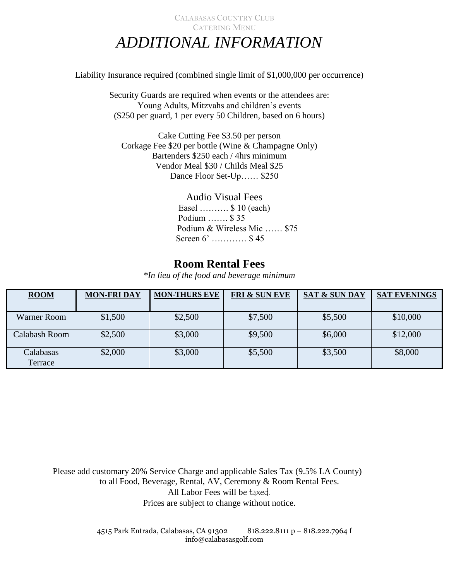### CALABASAS COUNTRY CLUB CATERING MENU *ADDITIONAL INFORMATION*

Liability Insurance required (combined single limit of \$1,000,000 per occurrence)

Security Guards are required when events or the attendees are: Young Adults, Mitzvahs and children's events (\$250 per guard, 1 per every 50 Children, based on 6 hours)

Cake Cutting Fee \$3.50 per person Corkage Fee \$20 per bottle (Wine & Champagne Only) Bartenders \$250 each / 4hrs minimum Vendor Meal \$30 / Childs Meal \$25 Dance Floor Set-Up…… \$250

#### Audio Visual Fees

Easel ………. \$ 10 (each) Podium ……. \$ 35 Podium & Wireless Mic …… \$75 Screen 6' ………… \$ 45

### **Room Rental Fees**

*\*In lieu of the food and beverage minimum*

| <b>ROOM</b>   | <b>MON-FRIDAY</b> | <b>MON-THURS EVE</b> | <b>FRI &amp; SUN EVE</b> | <b>SAT &amp; SUN DAY</b> | <b>SAT EVENINGS</b> |
|---------------|-------------------|----------------------|--------------------------|--------------------------|---------------------|
|               |                   |                      |                          |                          |                     |
| Warner Room   | \$1,500           | \$2,500              | \$7,500                  | \$5,500                  | \$10,000            |
|               |                   |                      |                          |                          |                     |
| Calabash Room | \$2,500           | \$3,000              | \$9,500                  | \$6,000                  | \$12,000            |
|               |                   |                      |                          |                          |                     |
| Calabasas     | \$2,000           | \$3,000              | \$5,500                  | \$3,500                  | \$8,000             |
| Terrace       |                   |                      |                          |                          |                     |

Please add customary 20% Service Charge and applicable Sales Tax (9.5% LA County) to all Food, Beverage, Rental, AV, Ceremony & Room Rental Fees. All Labor Fees will be taxed. Prices are subject to change without notice.

> 4515 Park Entrada, Calabasas, CA 91302 818.222.8111 p – 818.222.7964 f info@calabasasgolf.com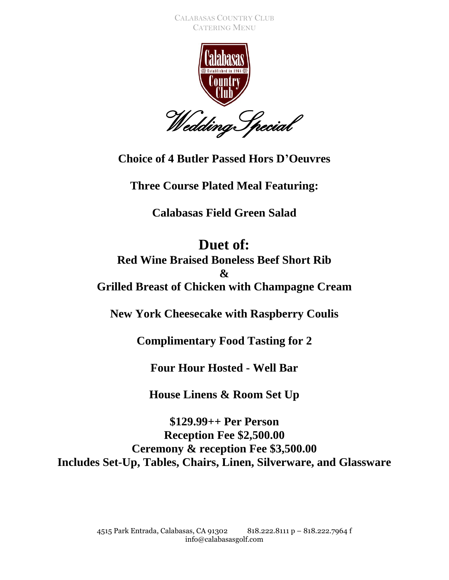

**Choice of 4 Butler Passed Hors D'Oeuvres**

**Three Course Plated Meal Featuring:**

**Calabasas Field Green Salad**

**Duet of: Red Wine Braised Boneless Beef Short Rib & Grilled Breast of Chicken with Champagne Cream**

**New York Cheesecake with Raspberry Coulis**

**Complimentary Food Tasting for 2**

**Four Hour Hosted - Well Bar**

**House Linens & Room Set Up**

**\$129.99++ Per Person Reception Fee \$2,500.00 Ceremony & reception Fee \$3,500.00 Includes Set-Up, Tables, Chairs, Linen, Silverware, and Glassware**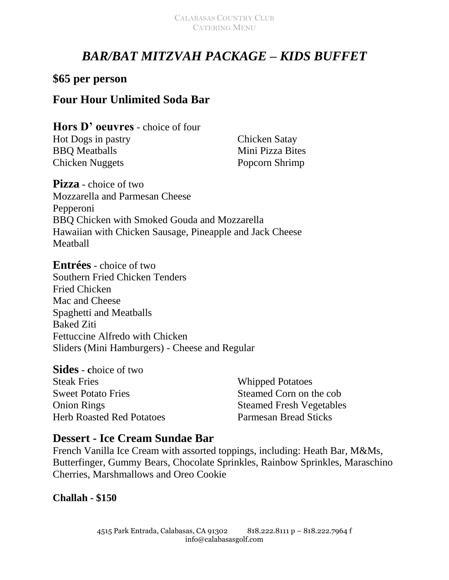# *BAR/BAT MITZVAH PACKAGE – KIDS BUFFET*

### **\$65 per person**

### **Four Hour Unlimited Soda Bar**

**Hors D' oeuvres** - choice of four Hot Dogs in pastry BBQ Meatballs Chicken Nuggets

Chicken Satay Mini Pizza Bites Popcorn Shrimp

**Pizza** - choice of two Mozzarella and Parmesan Cheese Pepperoni BBQ Chicken with Smoked Gouda and Mozzarella Hawaiian with Chicken Sausage, Pineapple and Jack Cheese Meatball

**Entrées** - choice of two Southern Fried Chicken Tenders Fried Chicken Mac and Cheese Spaghetti and Meatballs Baked Ziti Fettuccine Alfredo with Chicken Sliders (Mini Hamburgers) - Cheese and Regular

**Sides** - **c**hoice of two Steak Fries Sweet Potato Fries Onion Rings Herb Roasted Red Potatoes Whipped Potatoes Steamed Corn on the cob Steamed Fresh Vegetables Parmesan Bread Sticks

### **Dessert - Ice Cream Sundae Bar**

French Vanilla Ice Cream with assorted toppings, including: Heath Bar, M&Ms, Butterfinger, Gummy Bears, Chocolate Sprinkles, Rainbow Sprinkles, Maraschino Cherries, Marshmallows and Oreo Cookie

**Challah - \$150**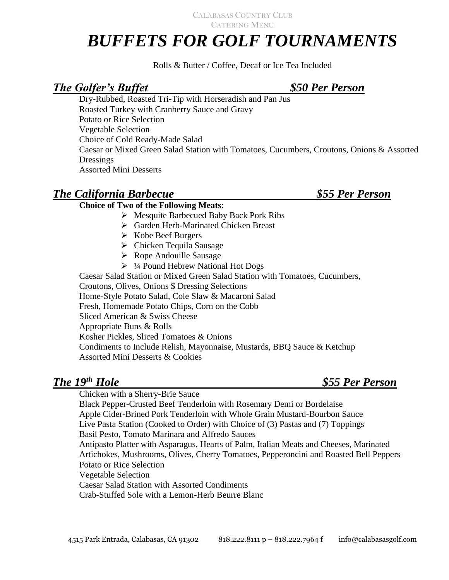# *BUFFETS FOR GOLF TOURNAMENTS*

Rolls & Butter / Coffee, Decaf or Ice Tea Included

### *The Golfer's Buffet \$50 Per Person*

Dry-Rubbed, Roasted Tri-Tip with Horseradish and Pan Jus Roasted Turkey with Cranberry Sauce and Gravy Potato or Rice Selection Vegetable Selection Choice of Cold Ready-Made Salad Caesar or Mixed Green Salad Station with Tomatoes, Cucumbers, Croutons, Onions & Assorted **Dressings** Assorted Mini Desserts

### *The California Barbecue \$55 Per Person*

### **Choice of Two of the Following Meats**:

- Mesquite Barbecued Baby Back Pork Ribs
- Garden Herb-Marinated Chicken Breast
- $\triangleright$  Kobe Beef Burgers
- $\triangleright$  Chicken Tequila Sausage
- $\triangleright$  Rope Andouille Sausage
- $\triangleright$  1/4 Pound Hebrew National Hot Dogs

 Caesar Salad Station or Mixed Green Salad Station with Tomatoes, Cucumbers, Croutons, Olives, Onions \$ Dressing Selections Home-Style Potato Salad, Cole Slaw & Macaroni Salad Fresh, Homemade Potato Chips, Corn on the Cobb Sliced American & Swiss Cheese Appropriate Buns & Rolls Kosher Pickles, Sliced Tomatoes & Onions Condiments to Include Relish, Mayonnaise, Mustards, BBQ Sauce & Ketchup Assorted Mini Desserts & Cookies

### *The 19th Hole \$55 Per Person*

Chicken with a Sherry-Brie Sauce

Black Pepper-Crusted Beef Tenderloin with Rosemary Demi or Bordelaise Apple Cider-Brined Pork Tenderloin with Whole Grain Mustard-Bourbon Sauce Live Pasta Station (Cooked to Order) with Choice of (3) Pastas and (7) Toppings Basil Pesto, Tomato Marinara and Alfredo Sauces Antipasto Platter with Asparagus, Hearts of Palm, Italian Meats and Cheeses, Marinated Artichokes, Mushrooms, Olives, Cherry Tomatoes, Pepperoncini and Roasted Bell Peppers Potato or Rice Selection Vegetable Selection Caesar Salad Station with Assorted Condiments Crab-Stuffed Sole with a Lemon-Herb Beurre Blanc